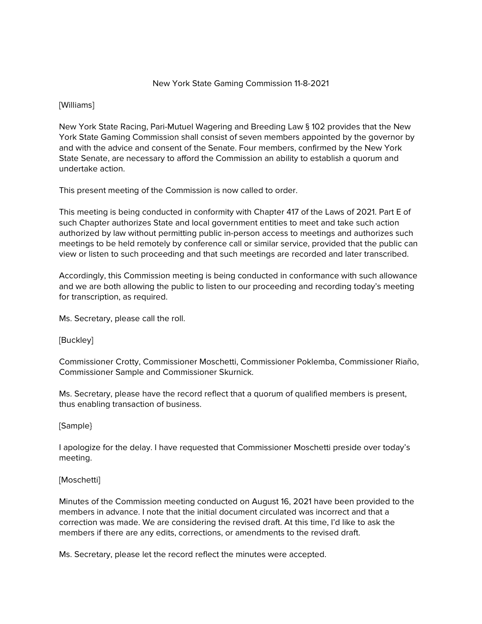### New York State Gaming Commission 11-8-2021

### [Williams]

New York State Racing, Pari-Mutuel Wagering and Breeding Law § 102 provides that the New York State Gaming Commission shall consist of seven members appointed by the governor by and with the advice and consent of the Senate. Four members, confirmed by the New York State Senate, are necessary to afford the Commission an ability to establish a quorum and undertake action.

This present meeting of the Commission is now called to order.

This meeting is being conducted in conformity with Chapter 417 of the Laws of 2021. Part E of such Chapter authorizes State and local government entities to meet and take such action authorized by law without permitting public in-person access to meetings and authorizes such meetings to be held remotely by conference call or similar service, provided that the public can view or listen to such proceeding and that such meetings are recorded and later transcribed.

Accordingly, this Commission meeting is being conducted in conformance with such allowance and we are both allowing the public to listen to our proceeding and recording today's meeting for transcription, as required.

Ms. Secretary, please call the roll.

## [Buckley]

Commissioner Crotty, Commissioner Moschetti, Commissioner Poklemba, Commissioner Riaño, Commissioner Sample and Commissioner Skurnick.

Ms. Secretary, please have the record reflect that a quorum of qualified members is present, thus enabling transaction of business.

#### [Sample}

I apologize for the delay. I have requested that Commissioner Moschetti preside over today's meeting.

## [Moschetti]

Minutes of the Commission meeting conducted on August 16, 2021 have been provided to the members in advance. I note that the initial document circulated was incorrect and that a correction was made. We are considering the revised draft. At this time, I'd like to ask the members if there are any edits, corrections, or amendments to the revised draft.

Ms. Secretary, please let the record reflect the minutes were accepted.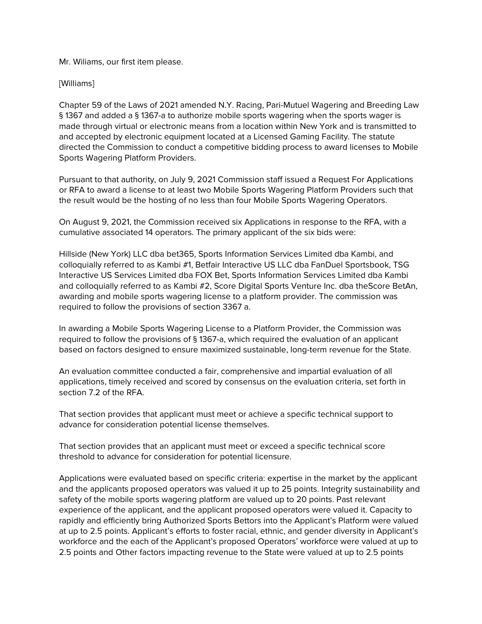Mr. Wiliams, our first item please.

# [Williams]

Chapter 59 of the Laws of 2021 amended N.Y. Racing, Pari-Mutuel Wagering and Breeding Law § 1367 and added a § 1367-a to authorize mobile sports wagering when the sports wager is made through virtual or electronic means from a location within New York and is transmitted to and accepted by electronic equipment located at a Licensed Gaming Facility. The statute directed the Commission to conduct a competitive bidding process to award licenses to Mobile Sports Wagering Platform Providers.

Pursuant to that authority, on July 9, 2021 Commission staff issued a Request For Applications or RFA to award a license to at least two Mobile Sports Wagering Platform Providers such that the result would be the hosting of no less than four Mobile Sports Wagering Operators.

On August 9, 2021, the Commission received six Applications in response to the RFA, with a cumulative associated 14 operators. The primary applicant of the six bids were:

Hillside (New York) LLC dba bet365, Sports Information Services Limited dba Kambi, and colloquially referred to as Kambi #1, Betfair Interactive US LLC dba FanDuel Sportsbook, TSG Interactive US Services Limited dba FOX Bet, Sports Information Services Limited dba Kambi and colloquially referred to as Kambi #2, Score Digital Sports Venture Inc. dba theScore BetAn, awarding and mobile sports wagering license to a platform provider. The commission was required to follow the provisions of section 3367 a.

In awarding a Mobile Sports Wagering License to a Platform Provider, the Commission was required to follow the provisions of § 1367-a, which required the evaluation of an applicant based on factors designed to ensure maximized sustainable, long-term revenue for the State.

An evaluation committee conducted a fair, comprehensive and impartial evaluation of all applications, timely received and scored by consensus on the evaluation criteria, set forth in section 7.2 of the RFA.

That section provides that applicant must meet or achieve a specific technical support to advance for consideration potential license themselves.

That section provides that an applicant must meet or exceed a specific technical score threshold to advance for consideration for potential licensure.

Applications were evaluated based on specific criteria: expertise in the market by the applicant and the applicants proposed operators was valued it up to 25 points. Integrity sustainability and safety of the mobile sports wagering platform are valued up to 20 points. Past relevant experience of the applicant, and the applicant proposed operators were valued it. Capacity to rapidly and efficiently bring Authorized Sports Bettors into the Applicant's Platform were valued at up to 2.5 points. Applicant's efforts to foster racial, ethnic, and gender diversity in Applicant's workforce and the each of the Applicant's proposed Operators' workforce were valued at up to 2.5 points and Other factors impacting revenue to the State were valued at up to 2.5 points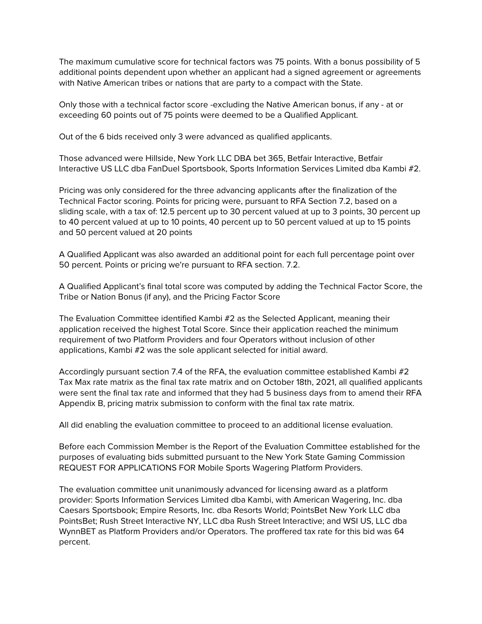The maximum cumulative score for technical factors was 75 points. With a bonus possibility of 5 additional points dependent upon whether an applicant had a signed agreement or agreements with Native American tribes or nations that are party to a compact with the State.

Only those with a technical factor score -excluding the Native American bonus, if any - at or exceeding 60 points out of 75 points were deemed to be a Qualified Applicant.

Out of the 6 bids received only 3 were advanced as qualified applicants.

Those advanced were Hillside, New York LLC DBA bet 365, Betfair Interactive, Betfair Interactive US LLC dba FanDuel Sportsbook, Sports Information Services Limited dba Kambi #2.

Pricing was only considered for the three advancing applicants after the finalization of the Technical Factor scoring. Points for pricing were, pursuant to RFA Section 7.2, based on a sliding scale, with a tax of: 12.5 percent up to 30 percent valued at up to 3 points, 30 percent up to 40 percent valued at up to 10 points, 40 percent up to 50 percent valued at up to 15 points and 50 percent valued at 20 points

A Qualified Applicant was also awarded an additional point for each full percentage point over 50 percent. Points or pricing we're pursuant to RFA section. 7.2.

A Qualified Applicant's final total score was computed by adding the Technical Factor Score, the Tribe or Nation Bonus (if any), and the Pricing Factor Score

The Evaluation Committee identified Kambi #2 as the Selected Applicant, meaning their application received the highest Total Score. Since their application reached the minimum requirement of two Platform Providers and four Operators without inclusion of other applications, Kambi #2 was the sole applicant selected for initial award.

Accordingly pursuant section 7.4 of the RFA, the evaluation committee established Kambi #2 Tax Max rate matrix as the final tax rate matrix and on October 18th, 2021, all qualified applicants were sent the final tax rate and informed that they had 5 business days from to amend their RFA Appendix B, pricing matrix submission to conform with the final tax rate matrix.

All did enabling the evaluation committee to proceed to an additional license evaluation.

Before each Commission Member is the Report of the Evaluation Committee established for the purposes of evaluating bids submitted pursuant to the New York State Gaming Commission REQUEST FOR APPLICATIONS FOR Mobile Sports Wagering Platform Providers.

The evaluation committee unit unanimously advanced for licensing award as a platform provider: Sports Information Services Limited dba Kambi, with American Wagering, Inc. dba Caesars Sportsbook; Empire Resorts, Inc. dba Resorts World; PointsBet New York LLC dba PointsBet; Rush Street Interactive NY, LLC dba Rush Street Interactive; and WSI US, LLC dba WynnBET as Platform Providers and/or Operators. The proffered tax rate for this bid was 64 percent.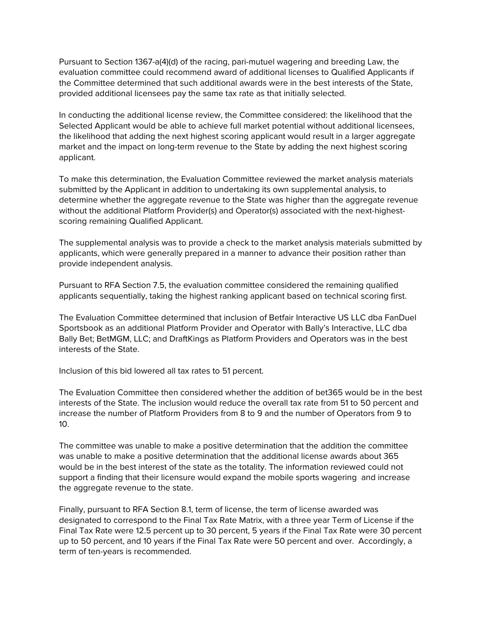Pursuant to Section 1367-a(4)(d) of the racing, pari-mutuel wagering and breeding Law, the evaluation committee could recommend award of additional licenses to Qualified Applicants if the Committee determined that such additional awards were in the best interests of the State, provided additional licensees pay the same tax rate as that initially selected.

In conducting the additional license review, the Committee considered: the likelihood that the Selected Applicant would be able to achieve full market potential without additional licensees, the likelihood that adding the next highest scoring applicant would result in a larger aggregate market and the impact on long-term revenue to the State by adding the next highest scoring applicant.

To make this determination, the Evaluation Committee reviewed the market analysis materials submitted by the Applicant in addition to undertaking its own supplemental analysis, to determine whether the aggregate revenue to the State was higher than the aggregate revenue without the additional Platform Provider(s) and Operator(s) associated with the next-highestscoring remaining Qualified Applicant.

The supplemental analysis was to provide a check to the market analysis materials submitted by applicants, which were generally prepared in a manner to advance their position rather than provide independent analysis.

Pursuant to RFA Section 7.5, the evaluation committee considered the remaining qualified applicants sequentially, taking the highest ranking applicant based on technical scoring first.

The Evaluation Committee determined that inclusion of Betfair Interactive US LLC dba FanDuel Sportsbook as an additional Platform Provider and Operator with Bally's Interactive, LLC dba Bally Bet; BetMGM, LLC; and DraftKings as Platform Providers and Operators was in the best interests of the State.

Inclusion of this bid lowered all tax rates to 51 percent.

The Evaluation Committee then considered whether the addition of bet365 would be in the best interests of the State. The inclusion would reduce the overall tax rate from 51 to 50 percent and increase the number of Platform Providers from 8 to 9 and the number of Operators from 9 to 10.

The committee was unable to make a positive determination that the addition the committee was unable to make a positive determination that the additional license awards about 365 would be in the best interest of the state as the totality. The information reviewed could not support a finding that their licensure would expand the mobile sports wagering and increase the aggregate revenue to the state.

Finally, pursuant to RFA Section 8.1, term of license, the term of license awarded was designated to correspond to the Final Tax Rate Matrix, with a three year Term of License if the Final Tax Rate were 12.5 percent up to 30 percent, 5 years if the Final Tax Rate were 30 percent up to 50 percent, and 10 years if the Final Tax Rate were 50 percent and over. Accordingly, a term of ten-years is recommended.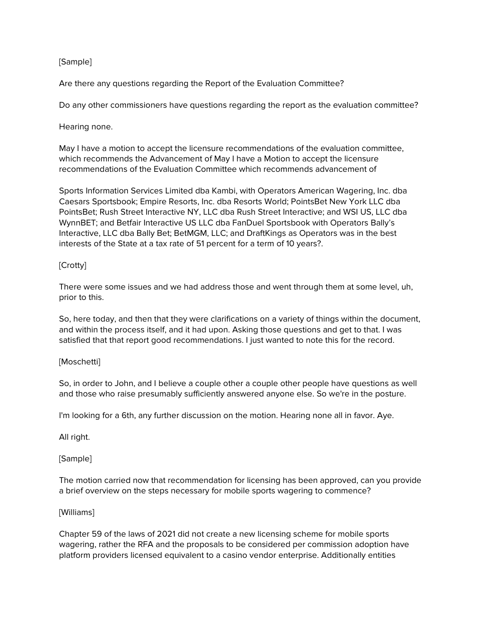# [Sample]

Are there any questions regarding the Report of the Evaluation Committee?

Do any other commissioners have questions regarding the report as the evaluation committee?

Hearing none.

May I have a motion to accept the licensure recommendations of the evaluation committee, which recommends the Advancement of May I have a Motion to accept the licensure recommendations of the Evaluation Committee which recommends advancement of

Sports Information Services Limited dba Kambi, with Operators American Wagering, Inc. dba Caesars Sportsbook; Empire Resorts, Inc. dba Resorts World; PointsBet New York LLC dba PointsBet; Rush Street Interactive NY, LLC dba Rush Street Interactive; and WSI US, LLC dba WynnBET; and Betfair Interactive US LLC dba FanDuel Sportsbook with Operators Bally's Interactive, LLC dba Bally Bet; BetMGM, LLC; and DraftKings as Operators was in the best interests of the State at a tax rate of 51 percent for a term of 10 years?.

# [Crotty]

There were some issues and we had address those and went through them at some level, uh, prior to this.

So, here today, and then that they were clarifications on a variety of things within the document, and within the process itself, and it had upon. Asking those questions and get to that. I was satisfied that that report good recommendations. I just wanted to note this for the record.

# [Moschetti]

So, in order to John, and I believe a couple other a couple other people have questions as well and those who raise presumably sufficiently answered anyone else. So we're in the posture.

I'm looking for a 6th, any further discussion on the motion. Hearing none all in favor. Aye.

All right.

[Sample]

The motion carried now that recommendation for licensing has been approved, can you provide a brief overview on the steps necessary for mobile sports wagering to commence?

# [Williams]

Chapter 59 of the laws of 2021 did not create a new licensing scheme for mobile sports wagering, rather the RFA and the proposals to be considered per commission adoption have platform providers licensed equivalent to a casino vendor enterprise. Additionally entities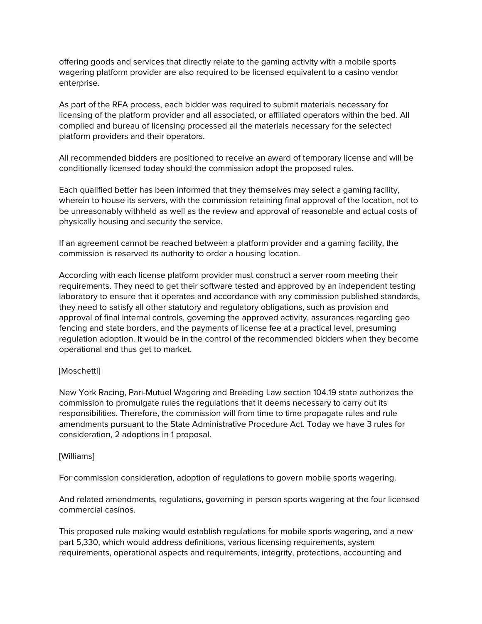offering goods and services that directly relate to the gaming activity with a mobile sports wagering platform provider are also required to be licensed equivalent to a casino vendor enterprise.

As part of the RFA process, each bidder was required to submit materials necessary for licensing of the platform provider and all associated, or affiliated operators within the bed. All complied and bureau of licensing processed all the materials necessary for the selected platform providers and their operators.

All recommended bidders are positioned to receive an award of temporary license and will be conditionally licensed today should the commission adopt the proposed rules.

Each qualified better has been informed that they themselves may select a gaming facility, wherein to house its servers, with the commission retaining final approval of the location, not to be unreasonably withheld as well as the review and approval of reasonable and actual costs of physically housing and security the service.

If an agreement cannot be reached between a platform provider and a gaming facility, the commission is reserved its authority to order a housing location.

According with each license platform provider must construct a server room meeting their requirements. They need to get their software tested and approved by an independent testing laboratory to ensure that it operates and accordance with any commission published standards, they need to satisfy all other statutory and regulatory obligations, such as provision and approval of final internal controls, governing the approved activity, assurances regarding geo fencing and state borders, and the payments of license fee at a practical level, presuming regulation adoption. It would be in the control of the recommended bidders when they become operational and thus get to market.

## [Moschetti]

New York Racing, Pari-Mutuel Wagering and Breeding Law section 104.19 state authorizes the commission to promulgate rules the regulations that it deems necessary to carry out its responsibilities. Therefore, the commission will from time to time propagate rules and rule amendments pursuant to the State Administrative Procedure Act. Today we have 3 rules for consideration, 2 adoptions in 1 proposal.

## [Williams]

For commission consideration, adoption of regulations to govern mobile sports wagering.

And related amendments, regulations, governing in person sports wagering at the four licensed commercial casinos.

This proposed rule making would establish regulations for mobile sports wagering, and a new part 5,330, which would address definitions, various licensing requirements, system requirements, operational aspects and requirements, integrity, protections, accounting and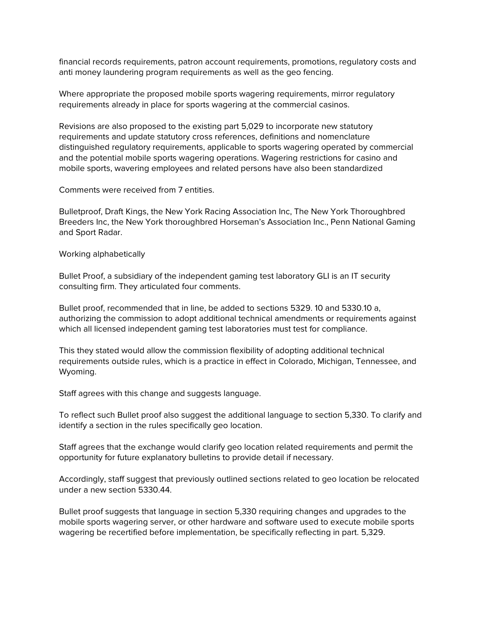financial records requirements, patron account requirements, promotions, regulatory costs and anti money laundering program requirements as well as the geo fencing.

Where appropriate the proposed mobile sports wagering requirements, mirror regulatory requirements already in place for sports wagering at the commercial casinos.

Revisions are also proposed to the existing part 5,029 to incorporate new statutory requirements and update statutory cross references, definitions and nomenclature distinguished regulatory requirements, applicable to sports wagering operated by commercial and the potential mobile sports wagering operations. Wagering restrictions for casino and mobile sports, wavering employees and related persons have also been standardized

Comments were received from 7 entities.

Bulletproof, Draft Kings, the New York Racing Association Inc, The New York Thoroughbred Breeders Inc, the New York thoroughbred Horseman's Association Inc., Penn National Gaming and Sport Radar.

Working alphabetically

Bullet Proof, a subsidiary of the independent gaming test laboratory GLI is an IT security consulting firm. They articulated four comments.

Bullet proof, recommended that in line, be added to sections 5329. 10 and 5330.10 a, authorizing the commission to adopt additional technical amendments or requirements against which all licensed independent gaming test laboratories must test for compliance.

This they stated would allow the commission flexibility of adopting additional technical requirements outside rules, which is a practice in effect in Colorado, Michigan, Tennessee, and Wyoming.

Staff agrees with this change and suggests language.

To reflect such Bullet proof also suggest the additional language to section 5,330. To clarify and identify a section in the rules specifically geo location.

Staff agrees that the exchange would clarify geo location related requirements and permit the opportunity for future explanatory bulletins to provide detail if necessary.

Accordingly, staff suggest that previously outlined sections related to geo location be relocated under a new section 5330.44.

Bullet proof suggests that language in section 5,330 requiring changes and upgrades to the mobile sports wagering server, or other hardware and software used to execute mobile sports wagering be recertified before implementation, be specifically reflecting in part. 5,329.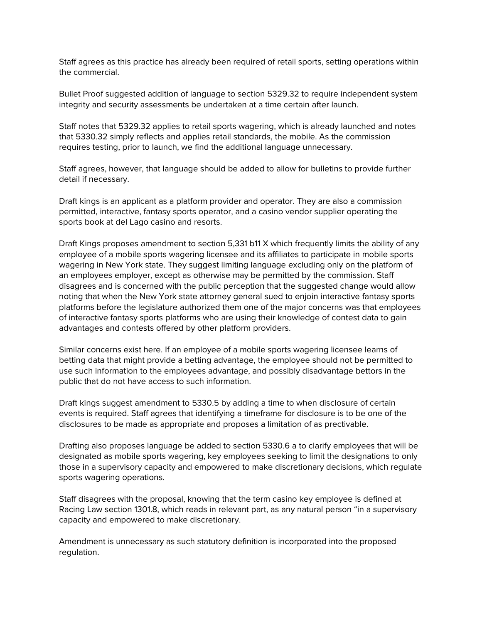Staff agrees as this practice has already been required of retail sports, setting operations within the commercial.

Bullet Proof suggested addition of language to section 5329.32 to require independent system integrity and security assessments be undertaken at a time certain after launch.

Staff notes that 5329.32 applies to retail sports wagering, which is already launched and notes that 5330.32 simply reflects and applies retail standards, the mobile. As the commission requires testing, prior to launch, we find the additional language unnecessary.

Staff agrees, however, that language should be added to allow for bulletins to provide further detail if necessary.

Draft kings is an applicant as a platform provider and operator. They are also a commission permitted, interactive, fantasy sports operator, and a casino vendor supplier operating the sports book at del Lago casino and resorts.

Draft Kings proposes amendment to section 5,331 b11 X which frequently limits the ability of any employee of a mobile sports wagering licensee and its affiliates to participate in mobile sports wagering in New York state. They suggest limiting language excluding only on the platform of an employees employer, except as otherwise may be permitted by the commission. Staff disagrees and is concerned with the public perception that the suggested change would allow noting that when the New York state attorney general sued to enjoin interactive fantasy sports platforms before the legislature authorized them one of the major concerns was that employees of interactive fantasy sports platforms who are using their knowledge of contest data to gain advantages and contests offered by other platform providers.

Similar concerns exist here. If an employee of a mobile sports wagering licensee learns of betting data that might provide a betting advantage, the employee should not be permitted to use such information to the employees advantage, and possibly disadvantage bettors in the public that do not have access to such information.

Draft kings suggest amendment to 5330.5 by adding a time to when disclosure of certain events is required. Staff agrees that identifying a timeframe for disclosure is to be one of the disclosures to be made as appropriate and proposes a limitation of as prectivable.

Drafting also proposes language be added to section 5330.6 a to clarify employees that will be designated as mobile sports wagering, key employees seeking to limit the designations to only those in a supervisory capacity and empowered to make discretionary decisions, which regulate sports wagering operations.

Staff disagrees with the proposal, knowing that the term casino key employee is defined at Racing Law section 1301.8, which reads in relevant part, as any natural person "in a supervisory capacity and empowered to make discretionary.

Amendment is unnecessary as such statutory definition is incorporated into the proposed regulation.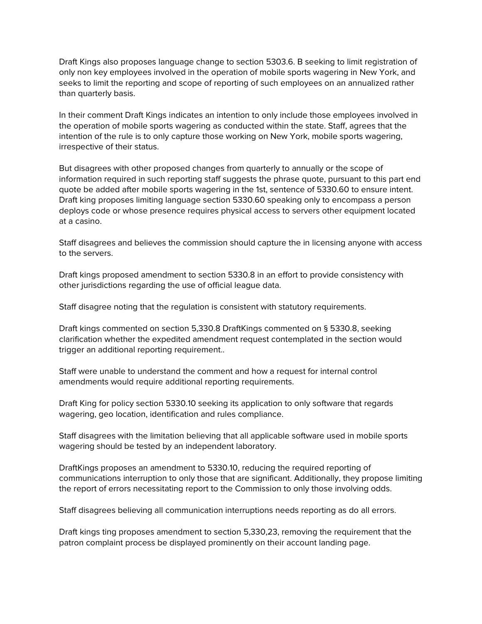Draft Kings also proposes language change to section 5303.6. B seeking to limit registration of only non key employees involved in the operation of mobile sports wagering in New York, and seeks to limit the reporting and scope of reporting of such employees on an annualized rather than quarterly basis.

In their comment Draft Kings indicates an intention to only include those employees involved in the operation of mobile sports wagering as conducted within the state. Staff, agrees that the intention of the rule is to only capture those working on New York, mobile sports wagering, irrespective of their status.

But disagrees with other proposed changes from quarterly to annually or the scope of information required in such reporting staff suggests the phrase quote, pursuant to this part end quote be added after mobile sports wagering in the 1st, sentence of 5330.60 to ensure intent. Draft king proposes limiting language section 5330.60 speaking only to encompass a person deploys code or whose presence requires physical access to servers other equipment located at a casino.

Staff disagrees and believes the commission should capture the in licensing anyone with access to the servers.

Draft kings proposed amendment to section 5330.8 in an effort to provide consistency with other jurisdictions regarding the use of official league data.

Staff disagree noting that the regulation is consistent with statutory requirements.

Draft kings commented on section 5,330.8 DraftKings commented on § 5330.8, seeking clarification whether the expedited amendment request contemplated in the section would trigger an additional reporting requirement..

Staff were unable to understand the comment and how a request for internal control amendments would require additional reporting requirements.

Draft King for policy section 5330.10 seeking its application to only software that regards wagering, geo location, identification and rules compliance.

Staff disagrees with the limitation believing that all applicable software used in mobile sports wagering should be tested by an independent laboratory.

DraftKings proposes an amendment to 5330.10, reducing the required reporting of communications interruption to only those that are significant. Additionally, they propose limiting the report of errors necessitating report to the Commission to only those involving odds.

Staff disagrees believing all communication interruptions needs reporting as do all errors.

Draft kings ting proposes amendment to section 5,330,23, removing the requirement that the patron complaint process be displayed prominently on their account landing page.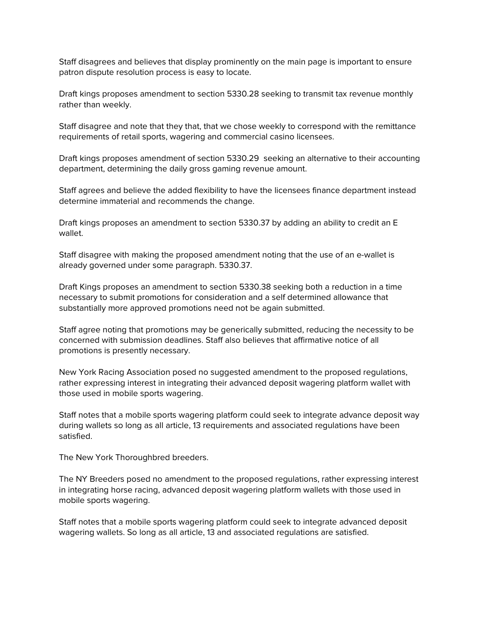Staff disagrees and believes that display prominently on the main page is important to ensure patron dispute resolution process is easy to locate.

Draft kings proposes amendment to section 5330.28 seeking to transmit tax revenue monthly rather than weekly.

Staff disagree and note that they that, that we chose weekly to correspond with the remittance requirements of retail sports, wagering and commercial casino licensees.

Draft kings proposes amendment of section 5330.29 seeking an alternative to their accounting department, determining the daily gross gaming revenue amount.

Staff agrees and believe the added flexibility to have the licensees finance department instead determine immaterial and recommends the change.

Draft kings proposes an amendment to section 5330.37 by adding an ability to credit an E wallet.

Staff disagree with making the proposed amendment noting that the use of an e-wallet is already governed under some paragraph. 5330.37.

Draft Kings proposes an amendment to section 5330.38 seeking both a reduction in a time necessary to submit promotions for consideration and a self determined allowance that substantially more approved promotions need not be again submitted.

Staff agree noting that promotions may be generically submitted, reducing the necessity to be concerned with submission deadlines. Staff also believes that affirmative notice of all promotions is presently necessary.

New York Racing Association posed no suggested amendment to the proposed regulations, rather expressing interest in integrating their advanced deposit wagering platform wallet with those used in mobile sports wagering.

Staff notes that a mobile sports wagering platform could seek to integrate advance deposit way during wallets so long as all article, 13 requirements and associated regulations have been satisfied.

The New York Thoroughbred breeders.

The NY Breeders posed no amendment to the proposed regulations, rather expressing interest in integrating horse racing, advanced deposit wagering platform wallets with those used in mobile sports wagering.

Staff notes that a mobile sports wagering platform could seek to integrate advanced deposit wagering wallets. So long as all article, 13 and associated regulations are satisfied.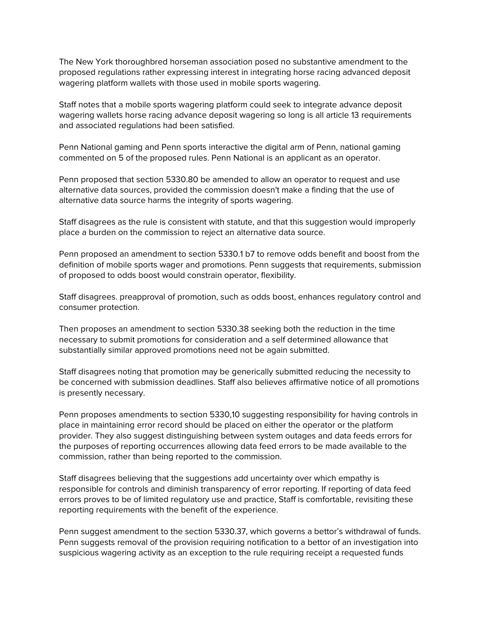The New York thoroughbred horseman association posed no substantive amendment to the proposed regulations rather expressing interest in integrating horse racing advanced deposit wagering platform wallets with those used in mobile sports wagering.

Staff notes that a mobile sports wagering platform could seek to integrate advance deposit wagering wallets horse racing advance deposit wagering so long is all article 13 requirements and associated regulations had been satisfied.

Penn National gaming and Penn sports interactive the digital arm of Penn, national gaming commented on 5 of the proposed rules. Penn National is an applicant as an operator.

Penn proposed that section 5330.80 be amended to allow an operator to request and use alternative data sources, provided the commission doesn't make a finding that the use of alternative data source harms the integrity of sports wagering.

Staff disagrees as the rule is consistent with statute, and that this suggestion would improperly place a burden on the commission to reject an alternative data source.

Penn proposed an amendment to section 5330.1 b7 to remove odds benefit and boost from the definition of mobile sports wager and promotions. Penn suggests that requirements, submission of proposed to odds boost would constrain operator, flexibility.

Staff disagrees. preapproval of promotion, such as odds boost, enhances regulatory control and consumer protection.

Then proposes an amendment to section 5330.38 seeking both the reduction in the time necessary to submit promotions for consideration and a self determined allowance that substantially similar approved promotions need not be again submitted.

Staff disagrees noting that promotion may be generically submitted reducing the necessity to be concerned with submission deadlines. Staff also believes affirmative notice of all promotions is presently necessary.

Penn proposes amendments to section 5330,10 suggesting responsibility for having controls in place in maintaining error record should be placed on either the operator or the platform provider. They also suggest distinguishing between system outages and data feeds errors for the purposes of reporting occurrences allowing data feed errors to be made available to the commission, rather than being reported to the commission.

Staff disagrees believing that the suggestions add uncertainty over which empathy is responsible for controls and diminish transparency of error reporting. If reporting of data feed errors proves to be of limited regulatory use and practice, Staff is comfortable, revisiting these reporting requirements with the benefit of the experience.

Penn suggest amendment to the section 5330.37, which governs a bettor's withdrawal of funds. Penn suggests removal of the provision requiring notification to a bettor of an investigation into suspicious wagering activity as an exception to the rule requiring receipt a requested funds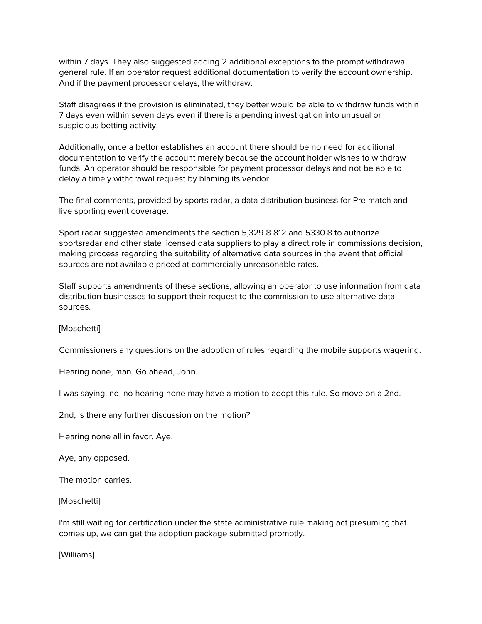within 7 days. They also suggested adding 2 additional exceptions to the prompt withdrawal general rule. If an operator request additional documentation to verify the account ownership. And if the payment processor delays, the withdraw.

Staff disagrees if the provision is eliminated, they better would be able to withdraw funds within 7 days even within seven days even if there is a pending investigation into unusual or suspicious betting activity.

Additionally, once a bettor establishes an account there should be no need for additional documentation to verify the account merely because the account holder wishes to withdraw funds. An operator should be responsible for payment processor delays and not be able to delay a timely withdrawal request by blaming its vendor.

The final comments, provided by sports radar, a data distribution business for Pre match and live sporting event coverage.

Sport radar suggested amendments the section 5,329 8 812 and 5330.8 to authorize sportsradar and other state licensed data suppliers to play a direct role in commissions decision, making process regarding the suitability of alternative data sources in the event that official sources are not available priced at commercially unreasonable rates.

Staff supports amendments of these sections, allowing an operator to use information from data distribution businesses to support their request to the commission to use alternative data sources.

[Moschetti]

Commissioners any questions on the adoption of rules regarding the mobile supports wagering.

Hearing none, man. Go ahead, John.

I was saying, no, no hearing none may have a motion to adopt this rule. So move on a 2nd.

2nd, is there any further discussion on the motion?

Hearing none all in favor. Aye.

Aye, any opposed.

The motion carries.

[Moschetti]

I'm still waiting for certification under the state administrative rule making act presuming that comes up, we can get the adoption package submitted promptly.

[Williams}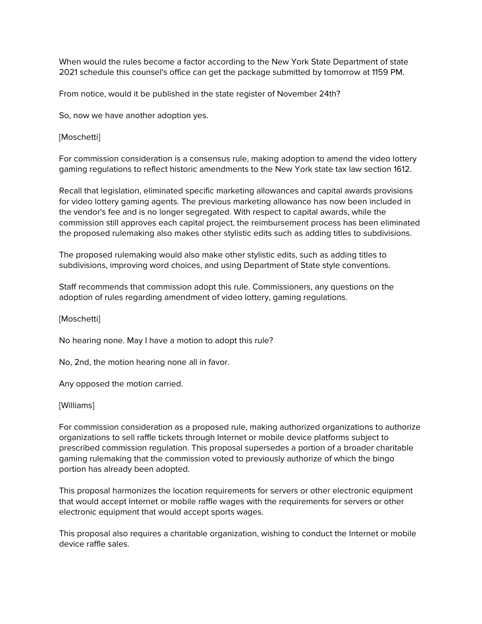When would the rules become a factor according to the New York State Department of state 2021 schedule this counsel's office can get the package submitted by tomorrow at 1159 PM.

From notice, would it be published in the state register of November 24th?

So, now we have another adoption yes.

### [Moschetti]

For commission consideration is a consensus rule, making adoption to amend the video lottery gaming regulations to reflect historic amendments to the New York state tax law section 1612.

Recall that legislation, eliminated specific marketing allowances and capital awards provisions for video lottery gaming agents. The previous marketing allowance has now been included in the vendor's fee and is no longer segregated. With respect to capital awards, while the commission still approves each capital project, the reimbursement process has been eliminated the proposed rulemaking also makes other stylistic edits such as adding titles to subdivisions.

The proposed rulemaking would also make other stylistic edits, such as adding titles to subdivisions, improving word choices, and using Department of State style conventions.

Staff recommends that commission adopt this rule. Commissioners, any questions on the adoption of rules regarding amendment of video lottery, gaming regulations.

#### [Moschetti]

No hearing none. May I have a motion to adopt this rule?

No, 2nd, the motion hearing none all in favor.

Any opposed the motion carried.

#### [Williams]

For commission consideration as a proposed rule, making authorized organizations to authorize organizations to sell raffle tickets through Internet or mobile device platforms subject to prescribed commission regulation. This proposal supersedes a portion of a broader charitable gaming rulemaking that the commission voted to previously authorize of which the bingo portion has already been adopted.

This proposal harmonizes the location requirements for servers or other electronic equipment that would accept Internet or mobile raffle wages with the requirements for servers or other electronic equipment that would accept sports wages.

This proposal also requires a charitable organization, wishing to conduct the Internet or mobile device raffle sales.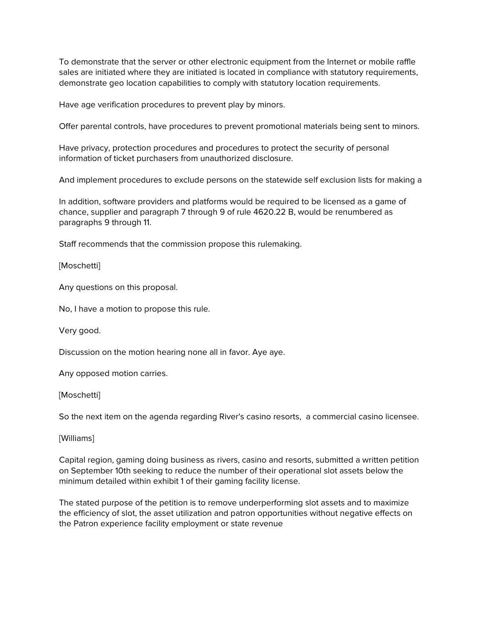To demonstrate that the server or other electronic equipment from the Internet or mobile raffle sales are initiated where they are initiated is located in compliance with statutory requirements, demonstrate geo location capabilities to comply with statutory location requirements.

Have age verification procedures to prevent play by minors.

Offer parental controls, have procedures to prevent promotional materials being sent to minors.

Have privacy, protection procedures and procedures to protect the security of personal information of ticket purchasers from unauthorized disclosure.

And implement procedures to exclude persons on the statewide self exclusion lists for making a

In addition, software providers and platforms would be required to be licensed as a game of chance, supplier and paragraph 7 through 9 of rule 4620.22 B, would be renumbered as paragraphs 9 through 11.

Staff recommends that the commission propose this rulemaking.

[Moschetti]

Any questions on this proposal.

No, I have a motion to propose this rule.

Very good.

Discussion on the motion hearing none all in favor. Aye aye.

Any opposed motion carries.

[Moschetti]

So the next item on the agenda regarding River's casino resorts, a commercial casino licensee.

[Williams]

Capital region, gaming doing business as rivers, casino and resorts, submitted a written petition on September 10th seeking to reduce the number of their operational slot assets below the minimum detailed within exhibit 1 of their gaming facility license.

The stated purpose of the petition is to remove underperforming slot assets and to maximize the efficiency of slot, the asset utilization and patron opportunities without negative effects on the Patron experience facility employment or state revenue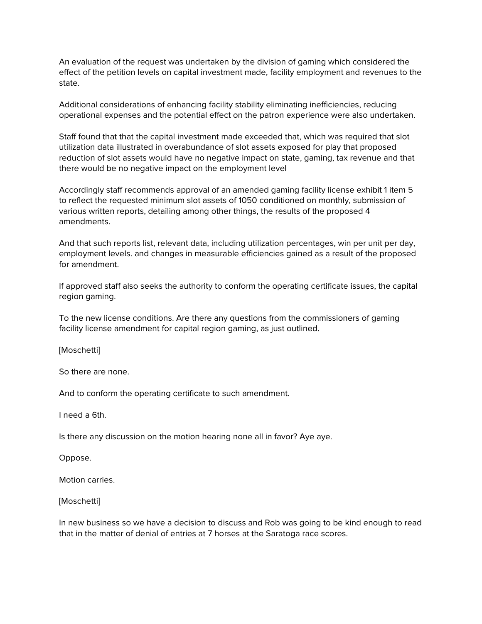An evaluation of the request was undertaken by the division of gaming which considered the effect of the petition levels on capital investment made, facility employment and revenues to the state.

Additional considerations of enhancing facility stability eliminating inefficiencies, reducing operational expenses and the potential effect on the patron experience were also undertaken.

Staff found that that the capital investment made exceeded that, which was required that slot utilization data illustrated in overabundance of slot assets exposed for play that proposed reduction of slot assets would have no negative impact on state, gaming, tax revenue and that there would be no negative impact on the employment level

Accordingly staff recommends approval of an amended gaming facility license exhibit 1 item 5 to reflect the requested minimum slot assets of 1050 conditioned on monthly, submission of various written reports, detailing among other things, the results of the proposed 4 amendments.

And that such reports list, relevant data, including utilization percentages, win per unit per day, employment levels. and changes in measurable efficiencies gained as a result of the proposed for amendment.

If approved staff also seeks the authority to conform the operating certificate issues, the capital region gaming.

To the new license conditions. Are there any questions from the commissioners of gaming facility license amendment for capital region gaming, as just outlined.

[Moschetti]

So there are none.

And to conform the operating certificate to such amendment.

I need a 6th.

Is there any discussion on the motion hearing none all in favor? Aye aye.

Oppose.

Motion carries.

[Moschetti]

In new business so we have a decision to discuss and Rob was going to be kind enough to read that in the matter of denial of entries at 7 horses at the Saratoga race scores.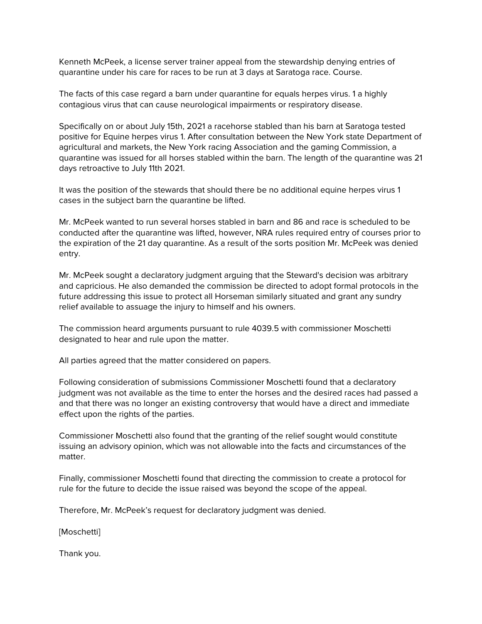Kenneth McPeek, a license server trainer appeal from the stewardship denying entries of quarantine under his care for races to be run at 3 days at Saratoga race. Course.

The facts of this case regard a barn under quarantine for equals herpes virus. 1 a highly contagious virus that can cause neurological impairments or respiratory disease.

Specifically on or about July 15th, 2021 a racehorse stabled than his barn at Saratoga tested positive for Equine herpes virus 1. After consultation between the New York state Department of agricultural and markets, the New York racing Association and the gaming Commission, a quarantine was issued for all horses stabled within the barn. The length of the quarantine was 21 days retroactive to July 11th 2021.

It was the position of the stewards that should there be no additional equine herpes virus 1 cases in the subject barn the quarantine be lifted.

Mr. McPeek wanted to run several horses stabled in barn and 86 and race is scheduled to be conducted after the quarantine was lifted, however, NRA rules required entry of courses prior to the expiration of the 21 day quarantine. As a result of the sorts position Mr. McPeek was denied entry.

Mr. McPeek sought a declaratory judgment arguing that the Steward's decision was arbitrary and capricious. He also demanded the commission be directed to adopt formal protocols in the future addressing this issue to protect all Horseman similarly situated and grant any sundry relief available to assuage the injury to himself and his owners.

The commission heard arguments pursuant to rule 4039.5 with commissioner Moschetti designated to hear and rule upon the matter.

All parties agreed that the matter considered on papers.

Following consideration of submissions Commissioner Moschetti found that a declaratory judgment was not available as the time to enter the horses and the desired races had passed a and that there was no longer an existing controversy that would have a direct and immediate effect upon the rights of the parties.

Commissioner Moschetti also found that the granting of the relief sought would constitute issuing an advisory opinion, which was not allowable into the facts and circumstances of the matter.

Finally, commissioner Moschetti found that directing the commission to create a protocol for rule for the future to decide the issue raised was beyond the scope of the appeal.

Therefore, Mr. McPeek's request for declaratory judgment was denied.

[Moschetti]

Thank you.